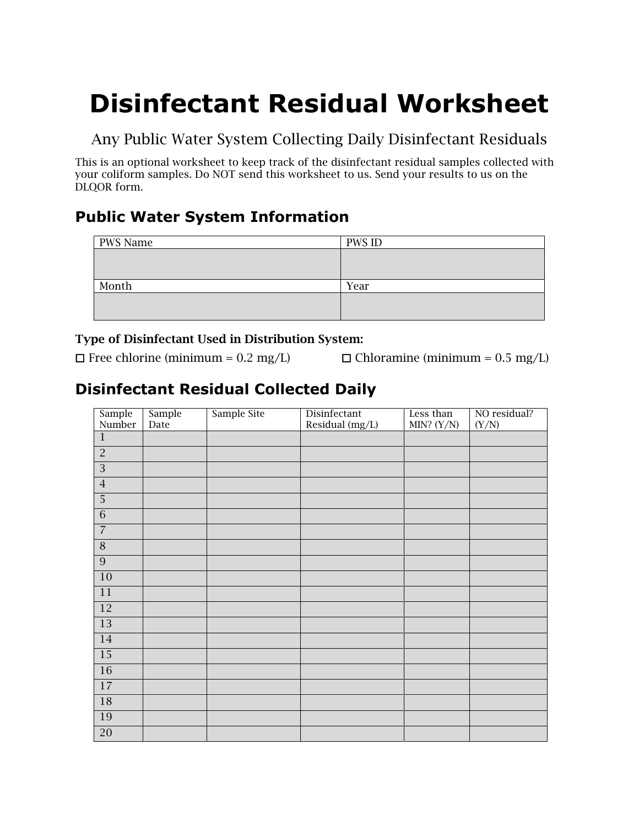# **Disinfectant Residual Worksheet**

Any Public Water System Collecting Daily Disinfectant Residuals

This is an optional worksheet to keep track of the disinfectant residual samples collected with your coliform samples. Do NOT send this worksheet to us. Send your results to us on the DLQOR form.

## **Public Water System Information**

| PWS Name | <b>PWS ID</b> |
|----------|---------------|
|          |               |
|          |               |
|          |               |
| Month    | Year          |
|          |               |
|          |               |
|          |               |

#### Type of Disinfectant Used in Distribution System:

 $\Box$  Free chlorine (minimum = 0.2 mg/L)  $\Box$  Chloramine (minimum = 0.5 mg/L)

# **Disinfectant Residual Collected Daily**

| Sample<br>Number | Sample<br>Date | Sample Site | Disinfectant<br>Residual (mg/L) | Less than<br>MIN? $(Y/N)$ | NO residual?<br>(Y/N) |
|------------------|----------------|-------------|---------------------------------|---------------------------|-----------------------|
| $1\,$            |                |             |                                 |                           |                       |
| $\overline{2}$   |                |             |                                 |                           |                       |
| $\overline{3}$   |                |             |                                 |                           |                       |
| $\sqrt{4}$       |                |             |                                 |                           |                       |
| $\overline{5}$   |                |             |                                 |                           |                       |
| $\overline{6}$   |                |             |                                 |                           |                       |
| $\overline{7}$   |                |             |                                 |                           |                       |
| $\overline{8}$   |                |             |                                 |                           |                       |
| $\overline{9}$   |                |             |                                 |                           |                       |
| 10               |                |             |                                 |                           |                       |
| 11               |                |             |                                 |                           |                       |
| <sup>12</sup>    |                |             |                                 |                           |                       |
| $\overline{13}$  |                |             |                                 |                           |                       |
| 14               |                |             |                                 |                           |                       |
| 15               |                |             |                                 |                           |                       |
| <b>16</b>        |                |             |                                 |                           |                       |
| 17               |                |             |                                 |                           |                       |
| 18               |                |             |                                 |                           |                       |
| 19               |                |             |                                 |                           |                       |
| 20               |                |             |                                 |                           |                       |